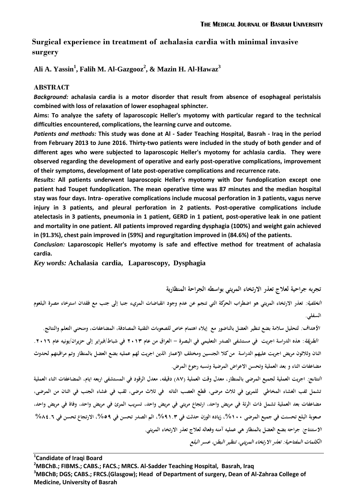# **Surgical experience in treatment of achalasia cardia with minimal invasive surgery**

**Ali A. Yassin<sup>1</sup> , Falih M. Al-Gazgooz<sup>2</sup> , & Mazin H. Al-Hawaz<sup>3</sup>** 

# **ABSTRACT**

*Background:* **achalasia cardia is a motor disorder that result from absence of esophageal peristalsis combined with loss of relaxation of lower esophageal sphincter.** 

**Aims: To analyze the safety of laparoscopic Heller's myotomy with particular regard to the technical difficulties encountered, complications, the learning curve and outcome.**

*Patients and methods:* **This study was done at Al - Sader Teaching Hospital, Basrah - Iraq in the period from February 2013 to June 2016. Thirty-two patients were included in the study of both gender and of different ages who were subjected to laparoscopic Heller's myotomy for achlasia cardia. They were observed regarding the development of operative and early post-operative complications, improvement of their symptoms, development of late post-operative complications and recurrence rate.**

*Results:* **All patients underwent laparoscopic Heller's myotomy with Dor fundoplication except one patient had Toupet fundoplication. The mean operative time was 87 minutes and the median hospital stay was four days. Intra- operative complications include mucosal perforation in 3 patients, vagus nerve injury in 3 patients, and pleural perforation in 2 patients. Post-operative complications include atelectasis in 3 patients, pneumonia in 1 patient, GERD in 1 patient, post-operative leak in one patient and mortality in one patient. All patients improved regarding dysphagia (100%) and weight gain achieved in (91.3%), chest pain improved in (59%) and regurgitation improved in (84.6%) of the patients.**

*Conclusion:* **Laparoscopic Heller's myotomy is safe and effective method for treatment of achalasia cardia.** 

*Key words:* **Achalasia cardia, Laparoscopy, Dysphagia** 

**تجربو جراحية لعالج تعذر االرتخاء المريئي بواسطو الجراحة المنظارية**

**الخلفية: تعذر االرتخاء المريئي ىو اضطراب الحركة التي تنجم عن عدم وجود انقباضات المريء جنبا إلى جنب مع فقدان استرخاء مصرة البلعوم السفلي.** 

*الأهداف:* لتحليل سلامة بضع تنظير العضل بالناضور مع إيلاء اهتمام خاص للصعوبات التقنية المصادفة، المضاعفات، ومنحني التعلم والنتائج.  **الطريقة: ىذه الدراسة اجريت في مستشفى الصدر التعليمي في البصرة - العراق من عام 3102 في شباط/فبراير إلى حزيران/يونيو عام .3102 اثنان وثالثون مريض اجريت عليهم الدراسة من كال الجنسين ومختلف اإلعمار الذين اجريت لهم عمليو بضع العضل بالمنظار وتم مراقبتهم لحدوث مضاعفات اثناء و بعد العملية وتحسن االعراض المرضية ونسبو رجوع المرض.**

**النتائج: اجريت العملية لجميع المرضى بالمنظار، معدل وقت العملية )78( دقيقو، معدل الرقود في المستشفى اربعو ايام، المضاعفات اثناء العملية تشمل ثفب الغشاء المخاطي للمريئ في ثالث مرضى، قطع العصب التائو في ثالث مرضى، ثقب في غشاء الجنب في اثنان من المرضى، مضاعفات بعد العملية تشمل ذات الرئة في مريض واحد، ارتجاع مريئي في مريض واحد، تسريب المرئ في مريض واحد، وفاة في مريض واحد،**  صعوبة البلع تحسنت في جميع المرضى **، ، ١ %،** زياده الوزن حدثت في ٩ ـ ٩ 1 %، الم الصدر تحسن في ٥٩%، الارتجاع تحسن في ٨ ٤ ـ ٨ % **االستنتاج: جراحو بضع العضل بالمنظار ىي عمليو آمنو وفعالو لعالج تعذر االرتخاء المريئي. الكلمات المفتاحية: تعذر االرتخاء المريئي، تنظير البطن، عسر البلع**

**<sup>1</sup> Candidate of Iraqi Board** 

**<sup>2</sup>MBChB.; FIBMS.; CABS.; FACS.; MRCS. Al-Sadder Teaching Hospital, Basrah, Iraq** 

**<sup>3</sup>MBChB; DGS; CABS.; FRCS.(Glasgow); Head of Department of surgery, Dean of Al-Zahraa College of Medicine, University of Basrah**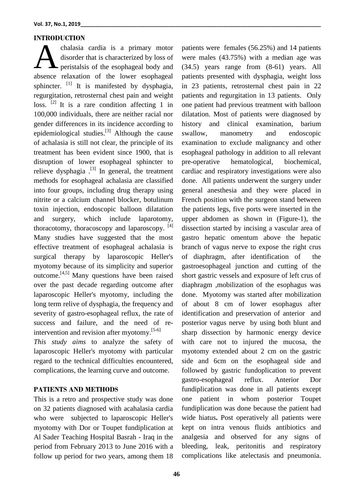# **INTRODUCTION**

chalasia cardia is a primary motor disorder that is characterized by loss of peristalsis of the esophageal body and absence relaxation of the lower esophageal sphincter.  $\begin{bmatrix} 1 \end{bmatrix}$  It is manifested by dysphagia, regurgitation, retrosternal chest pain and weight loss.  $[2]$  It is a rare condition affecting 1 in 100,000 individuals, there are neither racial nor gender differences in its incidence according to epidemiological studies.<sup>[3]</sup> Although the cause of achalasia is still not clear, the principle of its treatment has been evident since 1900, that is disruption of lower esophageal sphincter to relieve dysphagia  $^{[3]}$  In general, the treatment methods for esophageal achalasia are classified into four groups, including drug therapy using nitrite or a calcium channel blocker, botulinum toxin injection, endoscopic balloon dilatation and surgery, which include laparotomy, thoracotomy, thoracoscopy and laparoscopy. [4] Many studies have suggested that the most effective treatment of esophageal achalasia is surgical therapy by laparoscopic Heller's myotomy because of its simplicity and superior outcome.[4,5] Many questions have been raised over the past decade regarding outcome after laparoscopic Heller's myotomy, including the long term relive of dysphagia, the frequency and severity of gastro-esophageal reflux, the rate of success and failure, and the need of reintervention and revision after myotomy.[5-6] *This study aims* to analyze the safety of laparoscopic Heller's myotomy with particular regard to the technical difficulties encountered, complications, the learning curve and outcome. A

### **PATIENTS AND METHODS**

This is a retro and prospective study was done on 32 patients diagnosed with acahalasia cardia who were subjected to laparoscopic Heller's myotomy with Dor or Toupet fundiplication at Al Sader Teaching Hospital Basrah - Iraq in the period from February 2013 to June 2016 with a follow up period for two years, among them 18

patients were females (56.25%) and 14 patients were males (43.75%) with a median age was (34.5) years range from (8-61) years. All patients presented with dysphagia, weight loss in 23 patients, retrosternal chest pain in 22 patients and regurgitation in 13 patients. Only one patient had previous treatment with balloon dilatation. Most of patients were diagnosed by history and clinical examination, barium swallow, manometry and endoscopic examination to exclude malignancy and other esophageal pathology in addition to all relevant pre-operative hematological, biochemical, cardiac and respiratory investigations were also done. All patients underwent the surgery under general anesthesia and they were placed in French position with the surgeon stand between the patients legs, five ports were inserted in the upper abdomen as shown in (Figure-1), the dissection started by incising a vascular area of gastro hepatic omentum above the hepatic branch of vagus nerve to expose the right crus of diaphragm, after identification of the gastroesophageal junction and cutting of the short gastric vessels and exposure of left crus of diaphragm ,mobilization of the esophagus was done. Myotomy was started after mobilization of about 8 cm of lower esophagus after identification and preservation of anterior and posterior vagus nerve by using both blunt and sharp dissection by harmonic energy device with care not to injured the mucosa, the myotomy extended about 2 cm on the gastric side and 6cm on the esophageal side and followed by gastric fundoplication to prevent gastro-esophageal reflux. Anterior Dor fundiplication was done in all patients except one patient in whom posterior Toupet fundiplication was done because the patient had wide hiatus**.** Post operatively all patients were kept on intra venous fluids antibiotics and analgesia and observed for any signs of bleeding, leak, peritonitis and respiratory complications like atelectasis and pneumonia.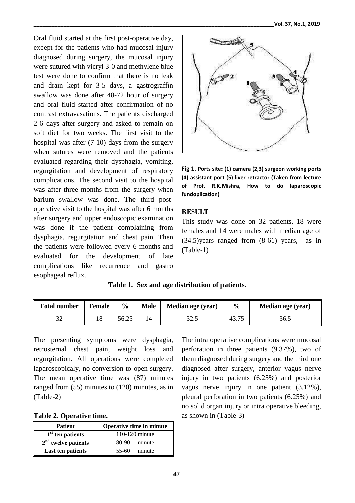Oral fluid started at the first post-operative day, except for the patients who had mucosal injury diagnosed during surgery, the mucosal injury were sutured with vicryl 3-0 and methylene blue test were done to confirm that there is no leak and drain kept for 3-5 days, a gastrograffin swallow was done after 48-72 hour of surgery and oral fluid started after confirmation of no contrast extravasations. The patients discharged 2-6 days after surgery and asked to remain on soft diet for two weeks. The first visit to the hospital was after (7-10) days from the surgery when sutures were removed and the patients evaluated regarding their dysphagia, vomiting, regurgitation and development of respiratory complications. The second visit to the hospital was after three months from the surgery when barium swallow was done. The third postoperative visit to the hospital was after 6 months after surgery and upper endoscopic examination was done if the patient complaining from dysphagia, regurgitation and chest pain. Then the patients were followed every 6 months and evaluated for the development of late complications like recurrence and gastro esophageal reflux.



**Fig 1. Ports site: (1) camera (2,3) surgeon working ports (4) assistant port (5) liver retractor (Taken from lecture of Prof. R.K.Mishra, How to do laparoscopic fundoplication)**

# **RESULT**

This study was done on 32 patients, 18 were females and 14 were males with median age of (34.5)years ranged from (8-61) years, as in (Table-1)

# **Table 1. Sex and age distribution of patients.**

| <b>Total number</b> | <b>Female</b> | $\frac{0}{0}$ | <b>Male</b> | Median age (year) | $\frac{6}{9}$ | Median age (year) |
|---------------------|---------------|---------------|-------------|-------------------|---------------|-------------------|
| $\Omega$<br>ے د     |               | 56.25         |             | 20 S<br>J2.J      | 43.75         | 36.5              |

The presenting symptoms were dysphagia, retrosternal chest pain, weight loss and regurgitation. All operations were completed laparoscopicaly, no conversion to open surgery. The mean operative time was (87) minutes ranged from (55) minutes to (120) minutes, as in (Table-2)

|  | Table 2. Operative time. |  |
|--|--------------------------|--|
|--|--------------------------|--|

| <b>Patient</b>        | Operative time in minute |  |  |
|-----------------------|--------------------------|--|--|
| $1st$ ten patients    | 110-120 minute           |  |  |
| $2nd$ twelve patients | 80-90 minute             |  |  |
| Last ten patients     | minute<br>55-60          |  |  |

The intra operative complications were mucosal perforation in three patients (9.37%), two of them diagnosed during surgery and the third one diagnosed after surgery, anterior vagus nerve injury in two patients (6.25%) and posterior vagus nerve injury in one patient (3.12%), pleural perforation in two patients (6.25%) and no solid organ injury or intra operative bleeding, as shown in (Table-3)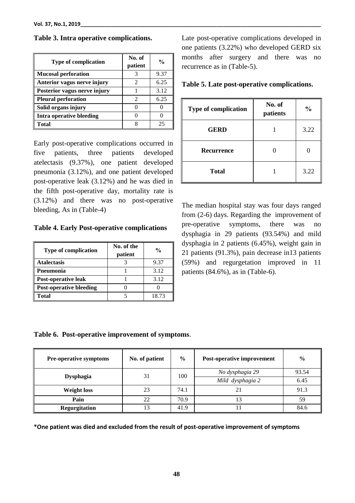| <b>Type of complication</b>     | No. of<br>patient | $\frac{6}{10}$ |
|---------------------------------|-------------------|----------------|
| <b>Mucosal perforation</b>      |                   | 9.37           |
| Anterior vagus nerve injury     | 2                 | 6.25           |
| Posterior vagus nerve injury    |                   | 3.12           |
| <b>Pleural perforation</b>      | 2                 | 6.25           |
| Solid organs injury             |                   |                |
| <b>Intra operative bleeding</b> |                   |                |
| <b>Total</b>                    |                   | 25             |

**Table 3. Intra operative complications.**

Early post-operative complications occurred in five patients, three patients developed atelectasis (9.37%), one patient developed pneumonia (3.12%), and one patient developed post-operative leak (3.12%) and he was died in the fifth post-operative day, mortality rate is (3.12%) and there was no post-operative bleeding, As in (Table-4)

**Table 4. Early Post-operative complications**

| <b>Type of complication</b>    | No. of the<br>patient | $\frac{1}{2}$ |
|--------------------------------|-----------------------|---------------|
| <b>Atalectasis</b>             |                       | 9.37          |
| Pneumonia                      |                       | 3.12          |
| Post-operative leak            |                       | 3.12          |
| <b>Post-operative bleeding</b> |                       |               |
| <b>Total</b>                   |                       | 18.73         |

Late post-operative complications developed in one patients (3.22%) who developed GERD six months after surgery and there was no recurrence as in (Table-5).

**Table 5. Late post-operative complications.**

| <b>Type of complication</b> | No. of<br>patients | $\frac{0}{0}$ |
|-----------------------------|--------------------|---------------|
| <b>GERD</b>                 |                    | 3.22          |
| Recurrence                  |                    |               |
| <b>Total</b>                |                    | 3.22          |

The median hospital stay was four days ranged from (2-6) days. Regarding the improvement of pre-operative symptoms, there was no dysphagia in 29 patients (93.54%) and mild dysphagia in 2 patients (6.45%), weight gain in 21 patients (91.3%), pain decrease in13 patients (59%) and regurgetation improved in 11 patients (84.6%), as in (Table-6).

### **Table 6. Post-operative improvement of symptoms**.

| <b>Pre-operative symptoms</b> | No. of patient | $\frac{6}{9}$ | Post-operative improvement | $\frac{6}{9}$ |
|-------------------------------|----------------|---------------|----------------------------|---------------|
|                               | 31             | 100           | No dysphagia 29            | 93.54         |
| <b>Dysphagia</b>              |                |               | Mild dysphagia 2           | 6.45          |
| <b>Weight loss</b>            | 23             | 74.1          | 21                         | 91.3          |
| Pain                          | 22             | 70.9          | 13                         | 59            |
| Regurgitation                 | 13             | 41.9          |                            | 84.6          |

**\*One patient was died and excluded from the result of post-operative improvement of symptoms**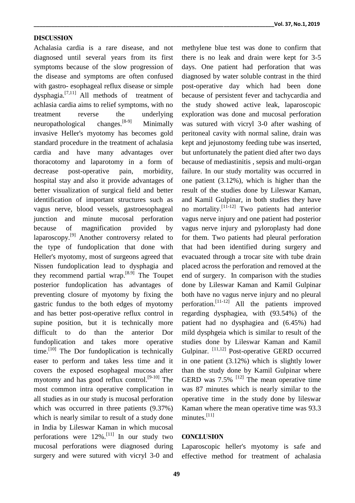#### **DISCUSSION**

Achalasia cardia is a rare disease, and not diagnosed until several years from its first symptoms because of the slow progression of the disease and symptoms are often confused with gastro- esophageal reflux disease or simple dysphagia.[7,11] All methods of treatment of achlasia cardia aims to relief symptoms, with no treatment reverse the underlying<br>neuropathological changes.<sup>[8-9]</sup> Minimally neuropathological changes.<sup>[8-9]</sup> Minimally invasive Heller's myotomy has becomes gold standard procedure in the treatment of achalasia cardia and have many advantages over thoracotomy and laparotomy in a form of decrease post-operative pain, morbidity, hospital stay and also it provide advantages of better visualization of surgical field and better identification of important structures such as vagus nerve, blood vessels, gastroesophageal junction and minute mucosal perforation because of magnification provided by laparoscopy.[9] Another controversy related to the type of fundoplication that done with Heller's myotomy, most of surgeons agreed that Nissen fundoplication lead to dysphagia and they recommend partial wrap.<sup>[8.9]</sup> The Toupet posterior fundoplication has advantages of preventing closure of myotomy by fixing the gastric fundus to the both edges of myotomy and has better post-operative reflux control in supine position, but it is technically more difficult to do than the anterior Dor fundoplication and takes more operative time.<sup>[10]</sup> The Dor fundoplication is technically easer to perform and takes less time and it covers the exposed esophageal mucosa after myotomy and has good reflux control.<sup>[9-10]</sup> The most common intra operative complication in all studies as in our study is mucosal perforation which was occurred in three patients (9.37%) which is nearly similar to result of a study done in India by Lileswar Kaman in which mucosal perforations were  $12\%$ .<sup>[11]</sup> In our study two mucosal perforations were diagnosed during surgery and were sutured with vicryl 3-0 and methylene blue test was done to confirm that there is no leak and drain were kept for 3-5 days. One patient had perforation that was diagnosed by water soluble contrast in the third post-operative day which had been done because of persistent fever and tachycardia and the study showed active leak, laparoscopic exploration was done and mucosal perforation was sutured with vicryl 3-0 after washing of peritoneal cavity with normal saline, drain was kept and jejunostomy feeding tube was inserted, but unfortunately the patient died after two days because of mediastinitis , sepsis and multi-organ failure. In our study mortality was occurred in one patient (3.12%), which is higher than the result of the studies done by Lileswar Kaman, and Kamil Gulpinar, in both studies they have no mortality.<sup>[11-12]</sup> Two patients had anterior vagus nerve injury and one patient had posterior vagus nerve injury and pyloroplasty had done for them. Two patients had pleural perforation that had been identified during surgery and evacuated through a trocar site with tube drain placed across the perforation and removed at the end of surgery. In comparison with the studies done by Lileswar Kaman and Kamil Gulpinar both have no vagus nerve injury and no pleural perforation.<sup>[11-12]</sup> All the patients improved regarding dysphagiea, with (93.54%) of the patient had no dysphagiea and (6.45%) had mild dysphgeia which is similar to result of the studies done by Lileswar Kaman and Kamil Gulpinar. [11,12] Post-operative GERD occurred in one patient (3.12%) which is slightly lower than the study done by Kamil Gulpinar where GERD was  $7.5\%$ <sup>[12]</sup> The mean operative time was 87 minutes which is nearly similar to the operative time in the study done by lileswar Kaman where the mean operative time was 93.3 minutes. $[11]$ 

#### **CONCLUSION**

Laparoscopic heller's myotomy is safe and effective method for treatment of achalasia